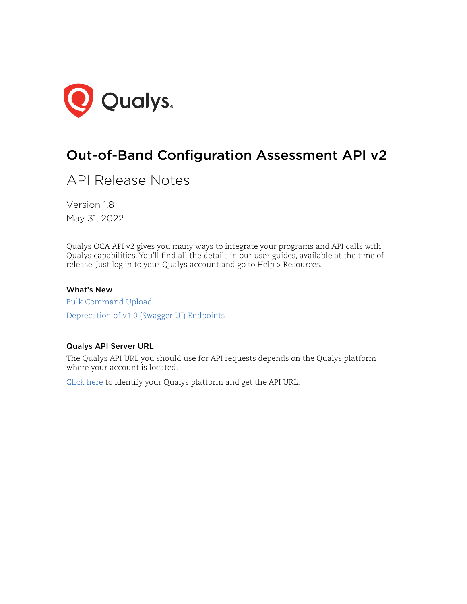

# Out-of-Band Configuration Assessment API v2

API Release Notes

Version 1.8 May 31, 2022

Qualys OCA API v2 gives you many ways to integrate your programs and API calls with Qualys capabilities. You'll find all the details in our user guides, available at the time of release. Just log in to your Qualys account and go to Help > Resources.

#### What's New

[Bulk Command Upload](#page-1-0) [Deprecation of v1.0 \(Swagger UI\) Endpoints](#page-3-0)

#### Qualys API Server URL

The Qualys API URL you should use for API requests depends on the Qualys platform where your account is located.

[Click here](https://www.qualys.com/platform-identification/) to identify your Qualys platform and get the API URL.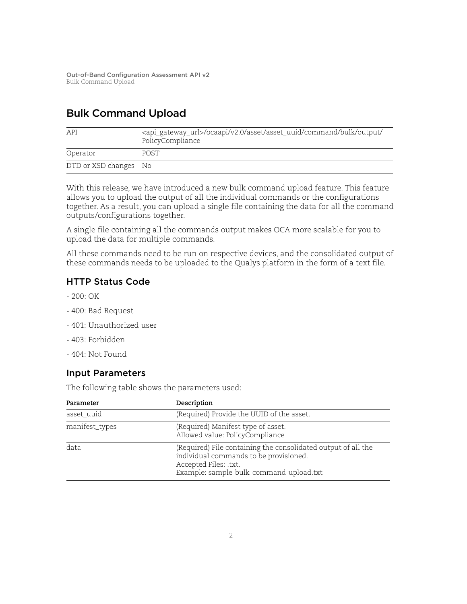## <span id="page-1-0"></span>Bulk Command Upload

| API                   | <api_gateway_url>/ocaapi/v2.0/asset/asset_uuid/command/bulk/output/<br/>PolicyCompliance</api_gateway_url> |
|-----------------------|------------------------------------------------------------------------------------------------------------|
| Operator              | POST                                                                                                       |
| DTD or XSD changes No |                                                                                                            |

With this release, we have introduced a new bulk command upload feature. This feature allows you to upload the output of all the individual commands or the configurations together. As a result, you can upload a single file containing the data for all the command outputs/configurations together.

A single file containing all the commands output makes OCA more scalable for you to upload the data for multiple commands.

All these commands need to be run on respective devices, and the consolidated output of these commands needs to be uploaded to the Qualys platform in the form of a text file.

## HTTP Status Code

- $-200:OK$
- 400: Bad Request
- 401: Unauthorized user
- 403: Forbidden
- 404: Not Found

#### Input Parameters

The following table shows the parameters used:

| Parameter      | Description                                                                                                                                                                 |
|----------------|-----------------------------------------------------------------------------------------------------------------------------------------------------------------------------|
| asset_uuid     | (Required) Provide the UUID of the asset.                                                                                                                                   |
| manifest_types | (Required) Manifest type of asset.<br>Allowed value: PolicyCompliance                                                                                                       |
| data           | (Required) File containing the consolidated output of all the<br>individual commands to be provisioned.<br>Accepted Files: .txt.<br>Example: sample-bulk-command-upload.txt |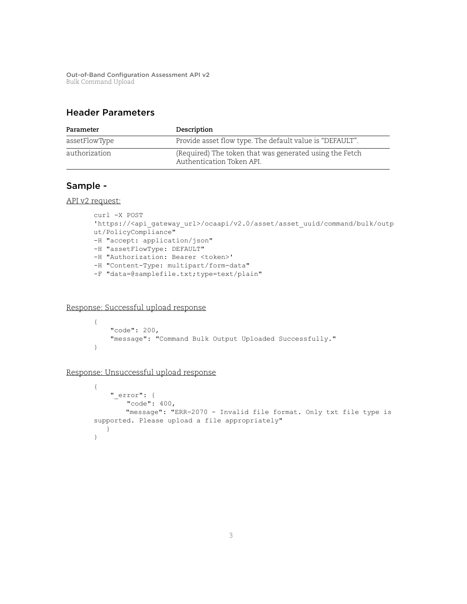### Header Parameters

| Parameter     | Description                                                                          |
|---------------|--------------------------------------------------------------------------------------|
| assetFlowType | Provide asset flow type. The default value is "DEFAULT".                             |
| authorization | (Required) The token that was generated using the Fetch<br>Authentication Token API. |

#### Sample -

API v2 request:

```
curl -X POST 
'https://<api_gateway_url>/ocaapi/v2.0/asset/asset_uuid/command/bulk/outp
ut/PolicyCompliance" 
-H "accept: application/json"
-H "assetFlowType: DEFAULT"
-H "Authorization: Bearer <token>'
-H "Content-Type: multipart/form-data"
-F "data=@samplefile.txt;type=text/plain"
```
Response: Successful upload response

```
{
     "code": 200,
     "message": "Command Bulk Output Uploaded Successfully."
}
```
Response: Unsuccessful upload response

```
{
     "_error": {
         "code": 400,
         "message": "ERR-2070 - Invalid file format. Only txt file type is 
supported. Please upload a file appropriately"
   }
}
```